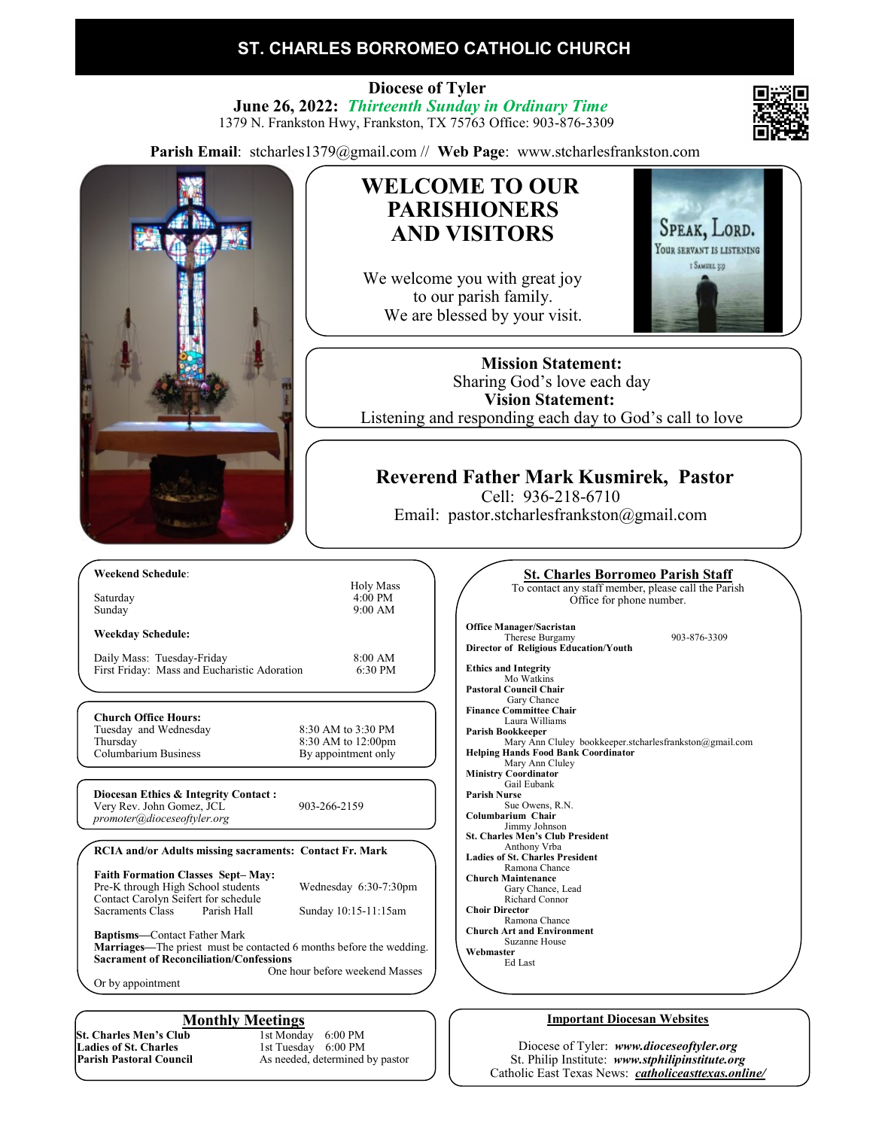# **ST. CHARLES BORROMEO CATHOLIC CHURCH**

 **Diocese of Tyler June 26, 2022:** *Thirteenth Sunday in Ordinary Time* 1379 N. Frankston Hwy, Frankston, TX 75763 Office: 903-876-3309

**Parish Email**: stcharles1379@gmail.com // **Web Page**: www.stcharlesfrankston.com



**St. Charles Men's Club**<br>Ladies of St. Charles **Ladies of St. Charles** 1st Tuesday 6:00 PM<br> **Parish Pastoral Council** 4s needed, determined

**Monthly Meetings**<br>ab 1st Monday 6:00 PM As needed, determined by pastor

#### Diocese of Tyler: *www.dioceseoftyler.org* St. Philip Institute: *www.stphilipinstitute.org* Catholic East Texas News: *catholiceasttexas.online/*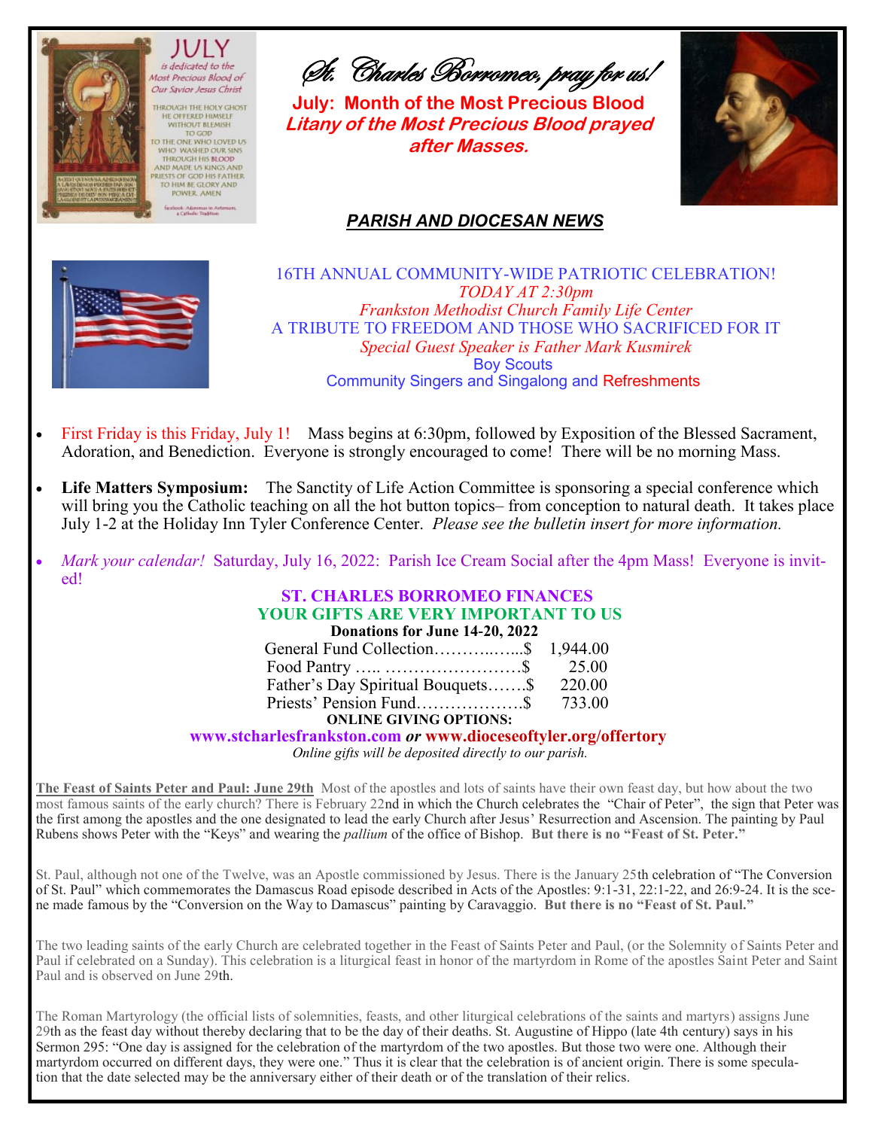

TO GOD

St. Charles Borromeo, pray for us!

**July: Month of the Most Precious Blood Litany of the Most Precious Blood prayed after Masses.**



# *PARISH AND DIOCESAN NEWS*



16TH ANNUAL COMMUNITY-WIDE PATRIOTIC CELEBRATION! *TODAY AT 2:30pm Frankston Methodist Church Family Life Center*  A TRIBUTE TO FREEDOM AND THOSE WHO SACRIFICED FOR IT *Special Guest Speaker is Father Mark Kusmirek* Boy Scouts Community Singers and Singalong and Refreshments

- First Friday is this Friday, July 1! Mass begins at 6:30pm, followed by Exposition of the Blessed Sacrament, Adoration, and Benediction. Everyone is strongly encouraged to come! There will be no morning Mass.
- Life Matters Symposium: The Sanctity of Life Action Committee is sponsoring a special conference which will bring you the Catholic teaching on all the hot button topics– from conception to natural death. It takes place July 1-2 at the Holiday Inn Tyler Conference Center. *Please see the bulletin insert for more information.*
- *Mark your calendar!* Saturday, July 16, 2022: Parish Ice Cream Social after the 4pm Mass! Everyone is invited!

**ST. CHARLES BORROMEO FINANCES YOUR GIFTS ARE VERY IMPORTANT TO US Donations for June 14-20, 2022**

| General Fund Collection\$ 1,944.00       |  |
|------------------------------------------|--|
|                                          |  |
| Father's Day Spiritual Bouquets\$ 220.00 |  |
|                                          |  |
| <b>ONI INF CIVING OPTIONS.</b>           |  |

## **ONLINE GIVING OPTIONS:**

#### **www.stcharlesfrankston.com** *or* **www.dioceseoftyler.org/offertory**

*Online gifts will be deposited directly to our parish.*

**The Feast of Saints Peter and Paul: June 29th** Most of the apostles and lots of saints have their own feast day, but how about the two most famous saints of the early church? There is February 22nd in which the Church celebrates the "Chair of Peter", the sign that Peter was the first among the apostles and the one designated to lead the early Church after Jesus' Resurrection and Ascension. The painting by Paul Rubens shows Peter with the "Keys" and wearing the *pallium* of the office of Bishop. **But there is no "Feast of St. Peter."**

St. Paul, although not one of the Twelve, was an Apostle commissioned by Jesus. There is the January 25th celebration of "The Conversion of St. Paul" which commemorates the Damascus Road episode described in Acts of the Apostles: 9:1-31, 22:1-22, and 26:9-24. It is the scene made famous by the "Conversion on the Way to Damascus" painting by Caravaggio. **But there is no "Feast of St. Paul."**

The two leading saints of the early Church are celebrated together in the Feast of Saints Peter and Paul, (or the Solemnity of Saints Peter and Paul if celebrated on a Sunday). This celebration is a liturgical feast in honor of the martyrdom in Rome of the apostles Saint Peter and Saint Paul and is observed on June 29th.

The Roman Martyrology (the official lists of solemnities, feasts, and other liturgical celebrations of the saints and martyrs) assigns June 29th as the feast day without thereby declaring that to be the day of their deaths. St. Augustine of Hippo (late 4th century) says in his Sermon 295: "One day is assigned for the celebration of the martyrdom of the two apostles. But those two were one. Although their martyrdom occurred on different days, they were one." Thus it is clear that the celebration is of ancient origin. There is some speculation that the date selected may be the anniversary either of their death or of the translation of their relics.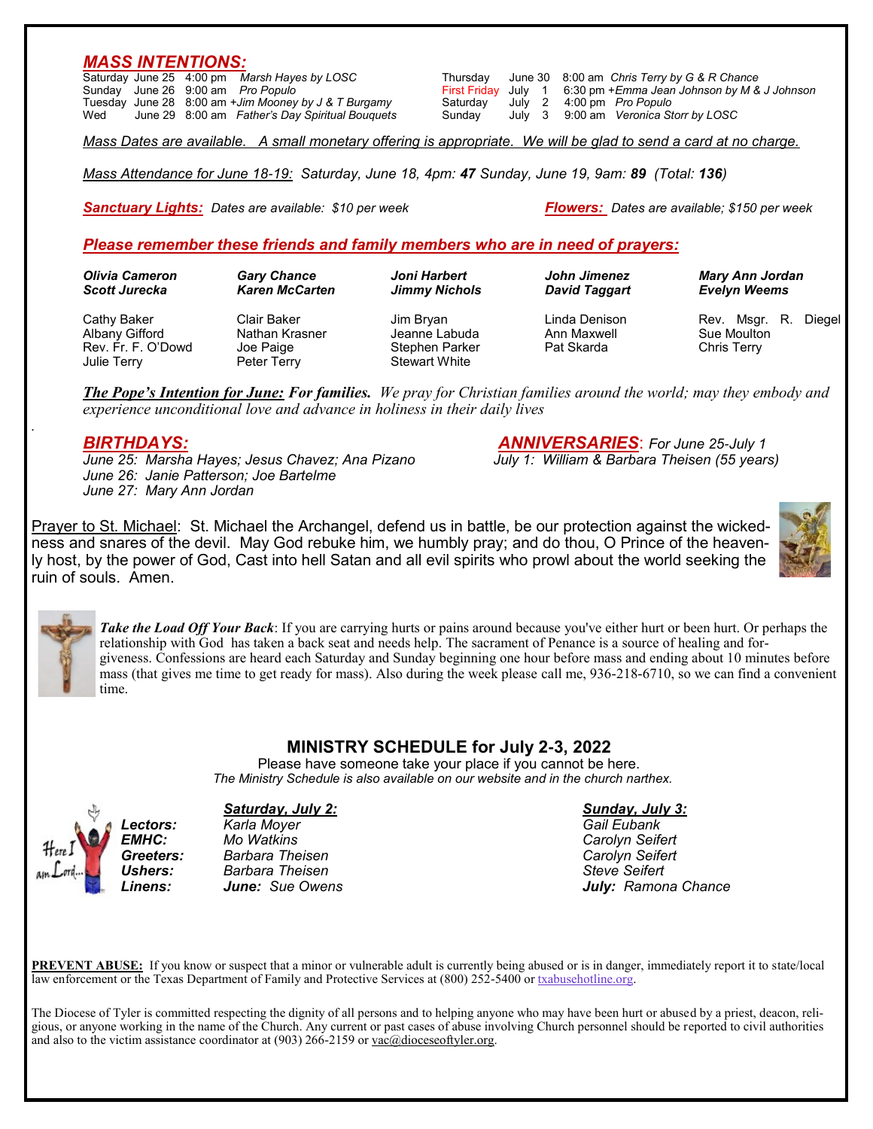## *MASS INTENTIONS:*

|     | Saturday June 25 4:00 pm Marsh Hayes by LOSC |                                                      |                                    |  | Thursday June 30 8:00 am Chris Terry by G & R Chance             |
|-----|----------------------------------------------|------------------------------------------------------|------------------------------------|--|------------------------------------------------------------------|
|     | Sunday June 26 9:00 am Pro Populo            |                                                      |                                    |  | First Friday July 1 6:30 pm + Emma Jean Johnson by M & J Johnson |
|     |                                              | Tuesday June 28 8:00 am +Jim Mooney by J & T Burgamy | Saturday July 2 4:00 pm Pro Populo |  |                                                                  |
| Wed |                                              | June 29 8:00 am Father's Day Spiritual Bouquets      | Sundav                             |  | July 3 9:00 am Veronica Storr by LOSC                            |

*Mass Dates are available. A small monetary offering is appropriate. We will be glad to send a card at no charge.*

*Mass Attendance for June 18-19: Saturday, June 18, 4pm: 47 Sunday, June 19, 9am: 89 (Total: 136)*

*Sanctuary Lights: Dates are available: \$10 per week Flowers: Dates are available; \$150 per week*

## *Please remember these friends and family members who are in need of prayers:*

| Olivia Cameron                                                     | <b>Gary Chance</b>                                        | Joni Harbert                                                         | John Jimenez                               | <b>Mary Ann Jordan</b>                                |
|--------------------------------------------------------------------|-----------------------------------------------------------|----------------------------------------------------------------------|--------------------------------------------|-------------------------------------------------------|
| <b>Scott Jurecka</b>                                               | <b>Karen McCarten</b>                                     | <b>Jimmy Nichols</b>                                                 | <b>David Taggart</b>                       | <b>Evelyn Weems</b>                                   |
| Cathy Baker<br>Albany Gifford<br>Rev. Fr. F. O'Dowd<br>Julie Terry | Clair Baker<br>Nathan Krasner<br>Joe Paige<br>Peter Terry | Jim Bryan<br>Jeanne Labuda<br>Stephen Parker<br><b>Stewart White</b> | Linda Denison<br>Ann Maxwell<br>Pat Skarda | Rev. Msgr. R.<br>Diegel<br>Sue Moulton<br>Chris Terry |

*The Pope's Intention for June: For families. We pray for Christian families around the world; may they embody and experience unconditional love and advance in holiness in their daily lives*

*June 25: Marsha Hayes; Jesus Chavez; Ana Pizano July 1: William & Barbara Theisen (55 years) June 26: Janie Patterson; Joe Bartelme June 27: Mary Ann Jordan*

*BIRTHDAYS: ANNIVERSARIES*: *For June 25-July 1*

Prayer to St. Michael: St. Michael the Archangel, defend us in battle, be our protection against the wickedness and snares of the devil. May God rebuke him, we humbly pray; and do thou, O Prince of the heavenly host, by the power of God, Cast into hell Satan and all evil spirits who prowl about the world seeking the ruin of souls. Amen.





*.*

*Take the Load Off Your Back*: If you are carrying hurts or pains around because you've either hurt or been hurt. Or perhaps the relationship with God has taken a back seat and needs help. The sacrament of Penance is a source of healing and forgiveness. Confessions are heard each Saturday and Sunday beginning one hour before mass and ending about 10 minutes before mass (that gives me time to get ready for mass). Also during the week please call me, 936-218-6710, so we can find a convenient time.

## **MINISTRY SCHEDULE for July 2-3, 2022**

Please have someone take your place if you cannot be here.  *The Ministry Schedule is also available on our website and in the church narthex.*



### *Saturday, July 2: Sunday, July 3:*

*Lectors: Karla Moyer Gail Eubank EMHC: Mo Watkins Carolyn Seifert Greeters: Barbara Theisen Carolyn Seifert Ushers: Barbara Theisen* 

*Linens: June: Sue Owens July: Ramona Chance*

**PREVENT ABUSE:** If you know or suspect that a minor or vulnerable adult is currently being abused or is in danger, immediately report it to state/local law enforcement or the Texas Department of Family and Protective Services at (800) 252-5400 or [txabusehotline.org.](http://txabusehotline.org/)

The Diocese of Tyler is committed respecting the dignity of all persons and to helping anyone who may have been hurt or abused by a priest, deacon, religious, or anyone working in the name of the Church. Any current or past cases of abuse involving Church personnel should be reported to civil authorities and also to the victim assistance coordinator at  $(903)$  266-2159 or  $vac@dioceseoftyler.org.$ </u>